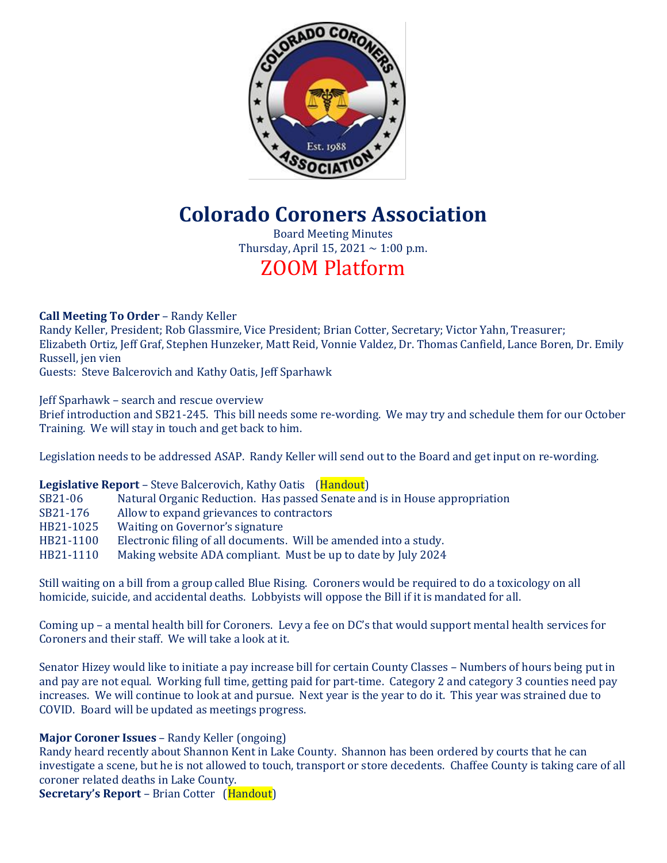

# **Colorado Coroners Association**

Board Meeting Minutes Thursday, April 15, 2021  $\sim$  1:00 p.m.

# ZOOM Platform

**Call Meeting To Order** – Randy Keller

Randy Keller, President; Rob Glassmire, Vice President; Brian Cotter, Secretary; Victor Yahn, Treasurer; Elizabeth Ortiz, Jeff Graf, Stephen Hunzeker, Matt Reid, Vonnie Valdez, Dr. Thomas Canfield, Lance Boren, Dr. Emily Russell, jen vien

Guests: Steve Balcerovich and Kathy Oatis, Jeff Sparhawk

Jeff Sparhawk – search and rescue overview

Brief introduction and SB21-245. This bill needs some re-wording. We may try and schedule them for our October Training. We will stay in touch and get back to him.

Legislation needs to be addressed ASAP. Randy Keller will send out to the Board and get input on re-wording.

# **Legislative Report** – Steve Balcerovich, Kathy Oatis (Handout)

- SB21-06 Natural Organic Reduction. Has passed Senate and is in House appropriation
- SB21-176 Allow to expand grievances to contractors
- HB21-1025 Waiting on Governor's signature
- HB21-1100 Electronic filing of all documents. Will be amended into a study.
- HB21-1110 Making website ADA compliant. Must be up to date by July 2024

Still waiting on a bill from a group called Blue Rising. Coroners would be required to do a toxicology on all homicide, suicide, and accidental deaths. Lobbyists will oppose the Bill if it is mandated for all.

Coming up – a mental health bill for Coroners. Levy a fee on DC's that would support mental health services for Coroners and their staff. We will take a look at it.

Senator Hizey would like to initiate a pay increase bill for certain County Classes – Numbers of hours being put in and pay are not equal. Working full time, getting paid for part-time. Category 2 and category 3 counties need pay increases. We will continue to look at and pursue. Next year is the year to do it. This year was strained due to COVID. Board will be updated as meetings progress.

# **Major Coroner Issues** – Randy Keller (ongoing)

Randy heard recently about Shannon Kent in Lake County. Shannon has been ordered by courts that he can investigate a scene, but he is not allowed to touch, transport or store decedents. Chaffee County is taking care of all coroner related deaths in Lake County.

**Secretary's Report** – Brian Cotter (Handout)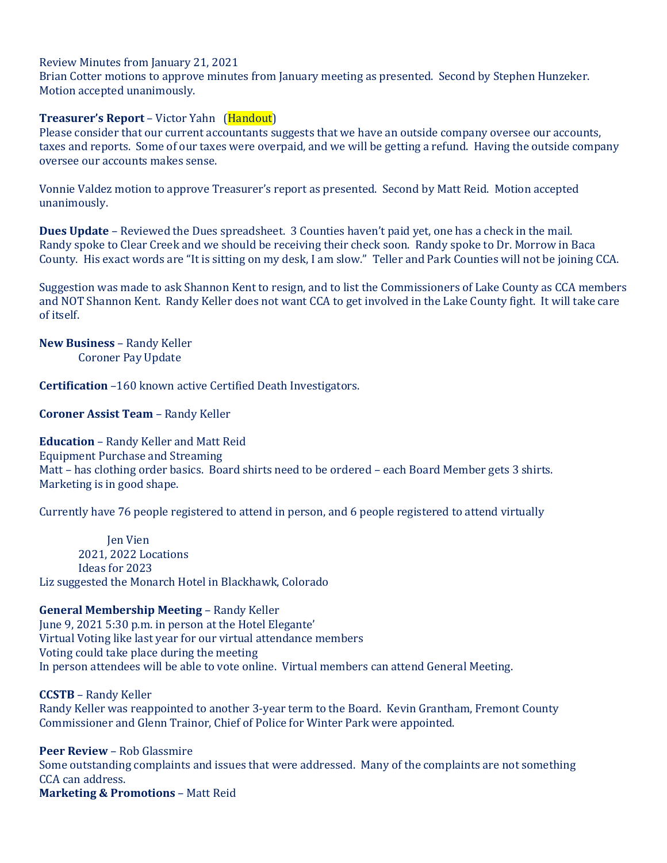#### Review Minutes from January 21, 2021

Brian Cotter motions to approve minutes from January meeting as presented. Second by Stephen Hunzeker. Motion accepted unanimously.

### **Treasurer's Report** – Victor Yahn (Handout)

Please consider that our current accountants suggests that we have an outside company oversee our accounts, taxes and reports. Some of our taxes were overpaid, and we will be getting a refund. Having the outside company oversee our accounts makes sense.

Vonnie Valdez motion to approve Treasurer's report as presented. Second by Matt Reid. Motion accepted unanimously.

**Dues Update** – Reviewed the Dues spreadsheet. 3 Counties haven't paid yet, one has a check in the mail. Randy spoke to Clear Creek and we should be receiving their check soon. Randy spoke to Dr. Morrow in Baca County. His exact words are "It is sitting on my desk, I am slow." Teller and Park Counties will not be joining CCA.

Suggestion was made to ask Shannon Kent to resign, and to list the Commissioners of Lake County as CCA members and NOT Shannon Kent. Randy Keller does not want CCA to get involved in the Lake County fight. It will take care of itself.

**New Business** – Randy Keller Coroner Pay Update

**Certification** –160 known active Certified Death Investigators.

**Coroner Assist Team** – Randy Keller

**Education** – Randy Keller and Matt Reid Equipment Purchase and Streaming Matt – has clothing order basics. Board shirts need to be ordered – each Board Member gets 3 shirts. Marketing is in good shape.

Currently have 76 people registered to attend in person, and 6 people registered to attend virtually

 Jen Vien 2021, 2022 Locations Ideas for 2023 Liz suggested the Monarch Hotel in Blackhawk, Colorado

**General Membership Meeting** – Randy Keller

June 9, 2021 5:30 p.m. in person at the Hotel Elegante' Virtual Voting like last year for our virtual attendance members Voting could take place during the meeting In person attendees will be able to vote online. Virtual members can attend General Meeting.

**CCSTB** – Randy Keller Randy Keller was reappointed to another 3-year term to the Board. Kevin Grantham, Fremont County Commissioner and Glenn Trainor, Chief of Police for Winter Park were appointed.

**Peer Review** – Rob Glassmire Some outstanding complaints and issues that were addressed. Many of the complaints are not something CCA can address. **Marketing & Promotions** – Matt Reid